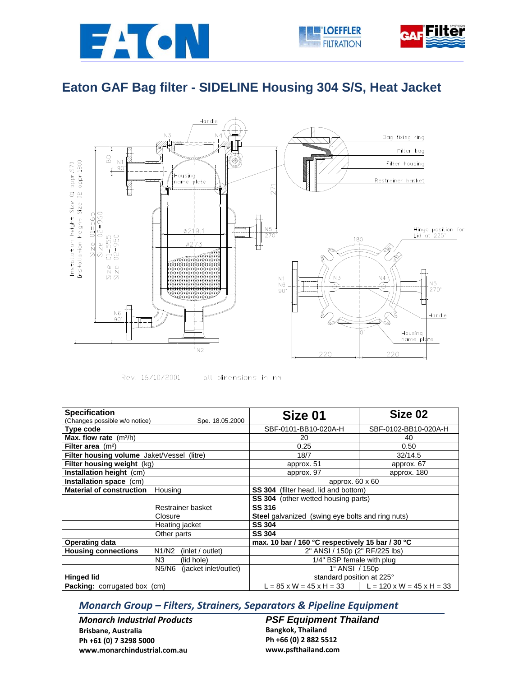





## **Eaton GAF Bag filter - SIDELINE Housing 304 S/S, Heat Jacket**





all dimensions in mm

| <b>Specification</b>                                    | Size 01                                          | Size 02                               |  |
|---------------------------------------------------------|--------------------------------------------------|---------------------------------------|--|
| (Changes possible w/o notice)<br>Spe. 18.05.2000        |                                                  |                                       |  |
| Type code                                               | SBF-0101-BB10-020A-H                             | SBF-0102-BB10-020A-H                  |  |
| Max. flow rate $(m^3/h)$                                | 20                                               | 40                                    |  |
| Filter area $(m2)$                                      | 0.25                                             | 0.50                                  |  |
| Filter housing volume Jaket/Vessel (litre)              | 18/7                                             | 32/14.5                               |  |
| Filter housing weight (kg)                              | approx. 51                                       | approx. 67                            |  |
| Installation height (cm)                                | approx. 97                                       | approx. 180                           |  |
| Installation space (cm)                                 | approx. 60 x 60                                  |                                       |  |
| <b>Material of construction</b><br>Housing              | <b>SS 304</b> (filter head, lid and bottom)      |                                       |  |
|                                                         | SS 304 (other wetted housing parts)              |                                       |  |
| Restrainer basket                                       | <b>SS 316</b>                                    |                                       |  |
| Closure                                                 | Steel galvanized (swing eye bolts and ring nuts) |                                       |  |
| Heating jacket                                          | <b>SS 304</b>                                    |                                       |  |
| Other parts                                             | <b>SS 304</b>                                    |                                       |  |
| <b>Operating data</b>                                   | max. 10 bar / 160 °C respectively 15 bar / 30 °C |                                       |  |
| <b>Housing connections</b><br>N1/N2<br>(inlet / outlet) | 2" ANSI / 150p (2" RF/225 lbs)                   |                                       |  |
| N3<br>(lid hole)                                        | 1/4" BSP female with plug                        |                                       |  |
| N5/N6<br>(jacket inlet/outlet)                          | 1" ANSI / 150p                                   |                                       |  |
| <b>Hinged lid</b>                                       | standard position at 225°                        |                                       |  |
| <b>Packing:</b> corrugated box (cm)                     | $L = 85 \times W = 45 \times H = 33$             | $L = 120 \times W = 45 \times H = 33$ |  |

## *Monarch Group – Filters, Strainers, Separators & Pipeline Equipment*

*Monarch Industrial Products* **Brisbane, Australia Ph +61 (0) 7 3298 5000 www.monarchindustrial.com.au**

*PSF Equipment Thailand*  **Bangkok, Thailand Ph +66 (0) 2 882 5512 www.psfthailand.com**